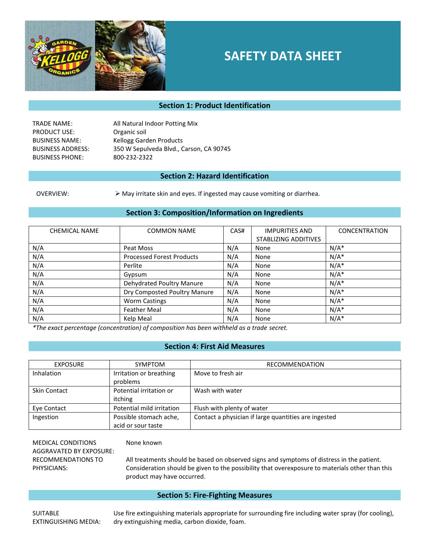

# **SAFETY DATA SHEET**

#### **Section 1: Product Identification**

TRADE NAME: All Natural Indoor Potting Mix PRODUCT USE: Organic soil BUSINESS NAME: Kellogg Garden Products BUSINESS ADDRESS: 350 W Sepulveda Blvd., Carson, CA 90745 BUSINESS PHONE: 800-232-2322

#### **Section 2: Hazard Identification**

OVERVIEW:  $\triangleright$  May irritate skin and eyes. If ingested may cause vomiting or diarrhea.

#### **Section 3: Composition/Information on Ingredients**

| <b>CHEMICAL NAME</b> | <b>COMMON NAME</b>               | CAS# | <b>IMPURITIES AND</b> | <b>CONCENTRATION</b> |
|----------------------|----------------------------------|------|-----------------------|----------------------|
|                      |                                  |      | STABLIZING ADDITIVES  |                      |
| N/A                  | Peat Moss                        | N/A  | None                  | $N/A^*$              |
| N/A                  | <b>Processed Forest Products</b> | N/A  | None                  | $N/A^*$              |
| N/A                  | Perlite                          | N/A  | None                  | $N/A^*$              |
| N/A                  | Gypsum                           | N/A  | None                  | $N/A^*$              |
| N/A                  | Dehydrated Poultry Manure        | N/A  | None                  | $N/A^*$              |
| N/A                  | Dry Composted Poultry Manure     | N/A  | None                  | $N/A^*$              |
| N/A                  | <b>Worm Castings</b>             | N/A  | None                  | $N/A^*$              |
| N/A                  | <b>Feather Meal</b>              | N/A  | None                  | $N/A^*$              |
| N/A                  | Kelp Meal                        | N/A  | None                  | $N/A^*$              |

*\*The exact percentage (concentration) of composition has been withheld as a trade secret.* 

#### **Section 4: First Aid Measures**

| <b>EXPOSURE</b>     | <b>SYMPTOM</b>                               | <b>RECOMMENDATION</b>                                |
|---------------------|----------------------------------------------|------------------------------------------------------|
| Inhalation          | Irritation or breathing<br>problems          | Move to fresh air                                    |
| <b>Skin Contact</b> | Potential irritation or<br>itching           | Wash with water                                      |
| Eye Contact         | Potential mild irritation                    | Flush with plenty of water                           |
| Ingestion           | Possible stomach ache,<br>acid or sour taste | Contact a physician if large quantities are ingested |

MEDICAL CONDITIONS AGGRAVATED BY EXPOSURE: RECOMMENDATIONS TO PHYSICIANS:

None known

All treatments should be based on observed signs and symptoms of distress in the patient. Consideration should be given to the possibility that overexposure to materials other than this product may have occurred.

#### **Section 5: Fire-Fighting Measures**

**SUITABLE** EXTINGUISHING MEDIA: Use fire extinguishing materials appropriate for surrounding fire including water spray (for cooling), dry extinguishing media, carbon dioxide, foam.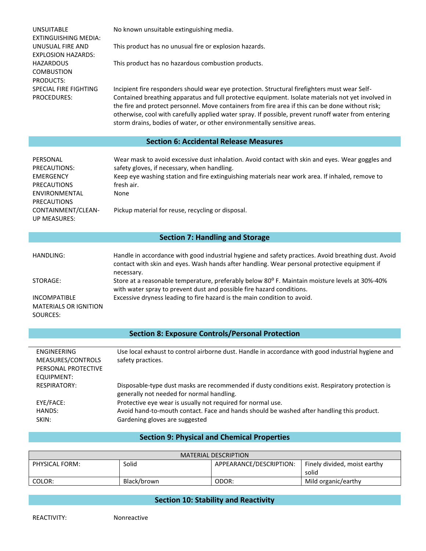| No known unsuitable extinguishing media.<br>This product has no unusual fire or explosion hazards.<br>This product has no hazardous combustion products.<br>Incipient fire responders should wear eye protection. Structural firefighters must wear Self-<br>Contained breathing apparatus and full protective equipment. Isolate materials not yet involved in<br>the fire and protect personnel. Move containers from fire area if this can be done without risk;<br>otherwise, cool with carefully applied water spray. If possible, prevent runoff water from entering<br>storm drains, bodies of water, or other environmentally sensitive areas. |  |  |  |  |
|--------------------------------------------------------------------------------------------------------------------------------------------------------------------------------------------------------------------------------------------------------------------------------------------------------------------------------------------------------------------------------------------------------------------------------------------------------------------------------------------------------------------------------------------------------------------------------------------------------------------------------------------------------|--|--|--|--|
| <b>Section 6: Accidental Release Measures</b>                                                                                                                                                                                                                                                                                                                                                                                                                                                                                                                                                                                                          |  |  |  |  |
| Wear mask to avoid excessive dust inhalation. Avoid contact with skin and eyes. Wear goggles and<br>safety gloves, if necessary, when handling.<br>Keep eye washing station and fire extinguishing materials near work area. If inhaled, remove to<br>fresh air.<br>None<br>Pickup material for reuse, recycling or disposal.                                                                                                                                                                                                                                                                                                                          |  |  |  |  |
| <b>Section 7: Handling and Storage</b>                                                                                                                                                                                                                                                                                                                                                                                                                                                                                                                                                                                                                 |  |  |  |  |
| Handle in accordance with good industrial hygiene and safety practices. Avoid breathing dust. Avoid<br>contact with skin and eyes. Wash hands after handling. Wear personal protective equipment if<br>necessary.<br>Store at a reasonable temperature, preferably below 80° F. Maintain moisture levels at 30%-40%<br>with water spray to prevent dust and possible fire hazard conditions.<br>Excessive dryness leading to fire hazard is the main condition to avoid.                                                                                                                                                                               |  |  |  |  |
| <b>Section 8: Exposure Controls/Personal Protection</b>                                                                                                                                                                                                                                                                                                                                                                                                                                                                                                                                                                                                |  |  |  |  |
| Use local exhaust to control airborne dust. Handle in accordance with good industrial hygiene and<br>safety practices.                                                                                                                                                                                                                                                                                                                                                                                                                                                                                                                                 |  |  |  |  |
|                                                                                                                                                                                                                                                                                                                                                                                                                                                                                                                                                                                                                                                        |  |  |  |  |

### **Section 9: Physical and Chemical Properties**

| MATERIAL DESCRIPTION |             |                         |                              |  |
|----------------------|-------------|-------------------------|------------------------------|--|
| PHYSICAL FORM:       | Solid       | APPEARANCE/DESCRIPTION: | Finely divided, moist earthy |  |
|                      |             |                         | solid                        |  |
| COLOR:               | Black/brown | ODOR:                   | Mild organic/earthy          |  |

## **Section 10: Stability and Reactivity**

 $\overline{a}$